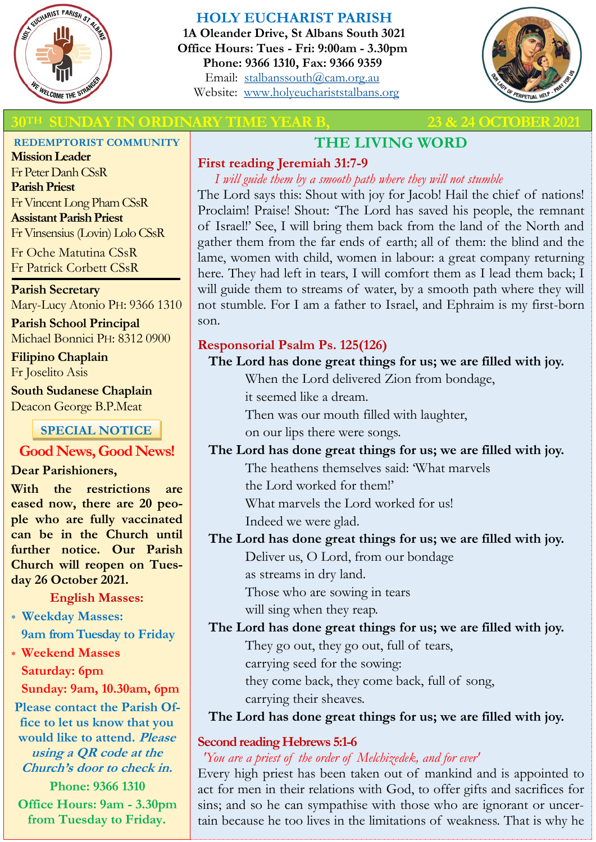

# **HOLY EUCHARIST PARISH**

**1A Oleander Drive, St Albans South 3021 Office Hours: Tues - Fri: 9:00am - 3.30pm Phone: 9366 1310, Fax: 9366 9359** Email: [stalbanssouth@cam.org.au](mailto:stalbanssouth@cam.org.au) Website:[www.holyeuchariststalbans.org](http://www.holyeuchariststalbans.org)



# **INDAY IN ORDINARY TIME YEAR B,** 23 & 24 OCTOBER 20

#### **REDEMPTORIST COMMUNITY**

**Mission Leader** Fr Peter Danh CSsR **Parish Priest** Fr Vincent Long Pham CSsR **Assistant Parish Priest**  Fr Vinsensius (Lovin) Lolo CSsR

Fr Oche Matutina CSsR Fr Patrick Corbett CSsR

**Parish Secretary** Mary-Lucy Atonio PH: 9366 1310

**Parish School Principal** Michael Bonnici PH: 8312 0900

**Filipino Chaplain** Fr Joselito Asis

**South Sudanese Chaplain** Deacon George B.P.Meat

# **SPECIAL NOTICE**

# **Good News, Good News!**

### **Dear Parishioners,**

**With the restrictions are eased now, there are 20 people who are fully vaccinated can be in the Church until further notice. Our Parish Church will reopen on Tuesday 26 October 2021.**

### **English Masses:**

- **Weekday Masses: 9am from Tuesday to Friday**
- **Weekend Masses Saturday: 6pm**

**Sunday: 9am, 10.30am, 6pm**

**Please contact the Parish Office to let us know that you would like to attend. Please using a QR code at the Church's door to check in. Phone: 9366 1310**

**Office Hours: 9am - 3.30pm from Tuesday to Friday.**

# **THE LIVING WORD**

# **First reading Jeremiah 31:7-9**

*I will guide them by a smooth path where they will not stumble* The Lord says this: Shout with joy for Jacob! Hail the chief of nations! Proclaim! Praise! Shout: 'The Lord has saved his people, the remnant of Israel!' See, I will bring them back from the land of the North and gather them from the far ends of earth; all of them: the blind and the lame, women with child, women in labour: a great company returning here. They had left in tears, I will comfort them as I lead them back; I will guide them to streams of water, by a smooth path where they will not stumble. For I am a father to Israel, and Ephraim is my first-born son.

# **Responsorial Psalm Ps. 125(126)**

# **The Lord has done great things for us; we are filled with joy.**

When the Lord delivered Zion from bondage,

it seemed like a dream.

Then was our mouth filled with laughter,

on our lips there were songs.

#### **The Lord has done great things for us; we are filled with joy.** The heathens themselves said: 'What marvels

the Lord worked for them!'

What marvels the Lord worked for us!

Indeed we were glad.

# **The Lord has done great things for us; we are filled with joy.**

Deliver us, O Lord, from our bondage

as streams in dry land.

Those who are sowing in tears

will sing when they reap.

# **The Lord has done great things for us; we are filled with joy.**

They go out, they go out, full of tears,

carrying seed for the sowing:

they come back, they come back, full of song,

carrying their sheaves.

# **The Lord has done great things for us; we are filled with joy.**

# **Second reading Hebrews 5:1-6**

# *'You are a priest of the order of Melchizedek, and for ever'*

Every high priest has been taken out of mankind and is appointed to act for men in their relations with God, to offer gifts and sacrifices for sins; and so he can sympathise with those who are ignorant or uncertain because he too lives in the limitations of weakness. That is why he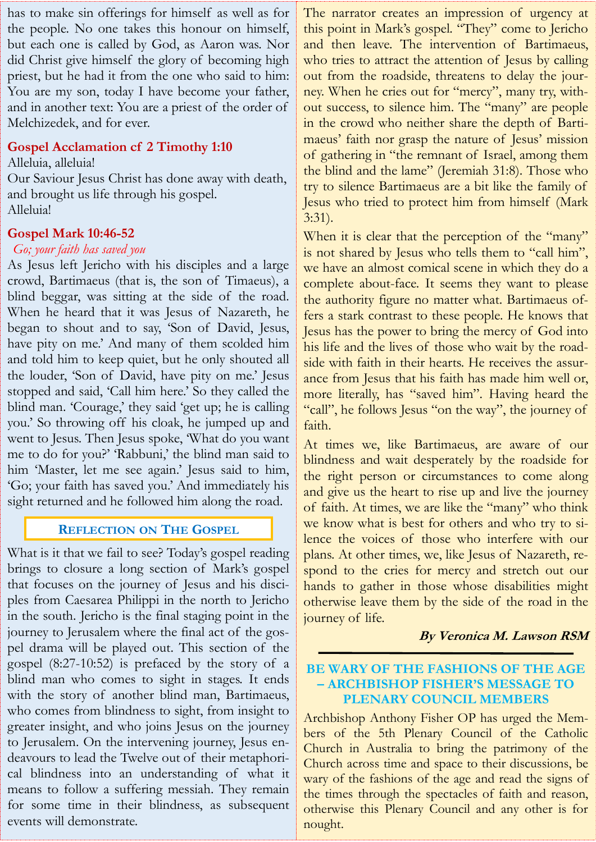has to make sin offerings for himself as well as for the people. No one takes this honour on himself, but each one is called by God, as Aaron was. Nor did Christ give himself the glory of becoming high priest, but he had it from the one who said to him: You are my son, today I have become your father, and in another text: You are a priest of the order of Melchizedek, and for ever.

#### **Gospel Acclamation cf 2 Timothy 1:10**

Alleluia, alleluia! Our Saviour Jesus Christ has done away with death, and brought us life through his gospel. Alleluia!

#### **Gospel Mark 10:46-52**

#### *Go; your faith has saved you*

As Jesus left Jericho with his disciples and a large crowd, Bartimaeus (that is, the son of Timaeus), a blind beggar, was sitting at the side of the road. When he heard that it was Jesus of Nazareth, he began to shout and to say, 'Son of David, Jesus, have pity on me.' And many of them scolded him and told him to keep quiet, but he only shouted all the louder, 'Son of David, have pity on me.' Jesus stopped and said, 'Call him here.' So they called the blind man. 'Courage,' they said 'get up; he is calling you.' So throwing off his cloak, he jumped up and went to Jesus. Then Jesus spoke, 'What do you want me to do for you?' 'Rabbuni,' the blind man said to him 'Master, let me see again.' Jesus said to him, 'Go; your faith has saved you.' And immediately his sight returned and he followed him along the road.

### **REFLECTION ON THE GOSPEL**

What is it that we fail to see? Today's gospel reading brings to closure a long section of Mark's gospel that focuses on the journey of Jesus and his disciples from Caesarea Philippi in the north to Jericho in the south. Jericho is the final staging point in the journey to Jerusalem where the final act of the gospel drama will be played out. This section of the gospel (8:27-10:52) is prefaced by the story of a blind man who comes to sight in stages. It ends with the story of another blind man, Bartimaeus, who comes from blindness to sight, from insight to greater insight, and who joins Jesus on the journey to Jerusalem. On the intervening journey, Jesus endeavours to lead the Twelve out of their metaphorical blindness into an understanding of what it means to follow a suffering messiah. They remain for some time in their blindness, as subsequent events will demonstrate.

The narrator creates an impression of urgency at this point in Mark's gospel. "They" come to Jericho and then leave. The intervention of Bartimaeus, who tries to attract the attention of Jesus by calling out from the roadside, threatens to delay the journey. When he cries out for "mercy", many try, without success, to silence him. The "many" are people in the crowd who neither share the depth of Bartimaeus' faith nor grasp the nature of Jesus' mission of gathering in "the remnant of Israel, among them the blind and the lame" (Jeremiah 31:8). Those who try to silence Bartimaeus are a bit like the family of Jesus who tried to protect him from himself (Mark 3:31).

When it is clear that the perception of the "many" is not shared by Jesus who tells them to "call him", we have an almost comical scene in which they do a complete about-face. It seems they want to please the authority figure no matter what. Bartimaeus offers a stark contrast to these people. He knows that Jesus has the power to bring the mercy of God into his life and the lives of those who wait by the roadside with faith in their hearts. He receives the assurance from Jesus that his faith has made him well or, more literally, has "saved him". Having heard the "call", he follows Jesus "on the way", the journey of faith.

At times we, like Bartimaeus, are aware of our blindness and wait desperately by the roadside for the right person or circumstances to come along and give us the heart to rise up and live the journey of faith. At times, we are like the "many" who think we know what is best for others and who try to silence the voices of those who interfere with our plans. At other times, we, like Jesus of Nazareth, respond to the cries for mercy and stretch out our hands to gather in those whose disabilities might otherwise leave them by the side of the road in the journey of life.

#### **By Veronica M. Lawson RSM**

#### **BE WARY OF THE FASHIONS OF THE AGE – ARCHBISHOP FISHER'S MESSAGE TO PLENARY COUNCIL MEMBERS**

Archbishop Anthony Fisher OP has urged the Members of the 5th Plenary Council of the Catholic Church in Australia to bring the patrimony of the Church across time and space to their discussions, be wary of the fashions of the age and read the signs of the times through the spectacles of faith and reason, otherwise this Plenary Council and any other is for nought.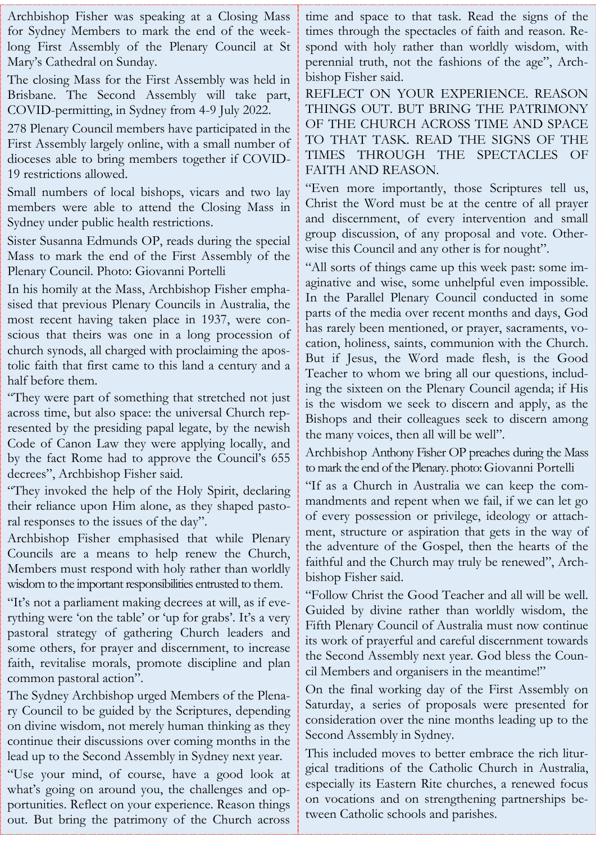Archbishop Fisher was speaking at a Closing Mass for Sydney Members to mark the end of the weeklong First Assembly of the Plenary Council at St Mary's Cathedral on Sunday.

The closing Mass for the First Assembly was held in Brisbane. The Second Assembly will take part, COVID-permitting, in Sydney from 4-9 July 2022.

278 Plenary Council members have participated in the First Assembly largely online, with a small number of dioceses able to bring members together if COVID-19 restrictions allowed.

Small numbers of local bishops, vicars and two lay members were able to attend the Closing Mass in Sydney under public health restrictions.

Sister Susanna Edmunds OP, reads during the special Mass to mark the end of the First Assembly of the Plenary Council. Photo: Giovanni Portelli

In his homily at the Mass, Archbishop Fisher emphasised that previous Plenary Councils in Australia, the most recent having taken place in 1937, were conscious that theirs was one in a long procession of church synods, all charged with proclaiming the apostolic faith that first came to this land a century and a half before them.

"They were part of something that stretched not just across time, but also space: the universal Church represented by the presiding papal legate, by the newish Code of Canon Law they were applying locally, and by the fact Rome had to approve the Council's 655 decrees", Archbishop Fisher said.

"They invoked the help of the Holy Spirit, declaring their reliance upon Him alone, as they shaped pastoral responses to the issues of the day".

Archbishop Fisher emphasised that while Plenary Councils are a means to help renew the Church, Members must respond with holy rather than worldly wisdom to the important responsibilities entrusted to them.

"It's not a parliament making decrees at will, as if everything were 'on the table' or 'up for grabs'. It's a very pastoral strategy of gathering Church leaders and some others, for prayer and discernment, to increase faith, revitalise morals, promote discipline and plan common pastoral action".

The Sydney Archbishop urged Members of the Plenary Council to be guided by the Scriptures, depending on divine wisdom, not merely human thinking as they continue their discussions over coming months in the lead up to the Second Assembly in Sydney next year.

"Use your mind, of course, have a good look at what's going on around you, the challenges and opportunities. Reflect on your experience. Reason things out. But bring the patrimony of the Church across

time and space to that task. Read the signs of the times through the spectacles of faith and reason. Respond with holy rather than worldly wisdom, with perennial truth, not the fashions of the age", Archbishop Fisher said.

REFLECT ON YOUR EXPERIENCE. REASON THINGS OUT. BUT BRING THE PATRIMONY OF THE CHURCH ACROSS TIME AND SPACE TO THAT TASK. READ THE SIGNS OF THE TIMES THROUGH THE SPECTACLES OF FAITH AND REASON.

"Even more importantly, those Scriptures tell us, Christ the Word must be at the centre of all prayer and discernment, of every intervention and small group discussion, of any proposal and vote. Otherwise this Council and any other is for nought".

"All sorts of things came up this week past: some imaginative and wise, some unhelpful even impossible. In the Parallel Plenary Council conducted in some parts of the media over recent months and days, God has rarely been mentioned, or prayer, sacraments, vocation, holiness, saints, communion with the Church. But if Jesus, the Word made flesh, is the Good Teacher to whom we bring all our questions, including the sixteen on the Plenary Council agenda; if His is the wisdom we seek to discern and apply, as the Bishops and their colleagues seek to discern among the many voices, then all will be well".

Archbishop Anthony Fisher OP preaches during the Mass to mark the end of the Plenary. photo: Giovanni Portelli

"If as a Church in Australia we can keep the commandments and repent when we fail, if we can let go of every possession or privilege, ideology or attachment, structure or aspiration that gets in the way of the adventure of the Gospel, then the hearts of the faithful and the Church may truly be renewed", Archbishop Fisher said.

"Follow Christ the Good Teacher and all will be well. Guided by divine rather than worldly wisdom, the Fifth Plenary Council of Australia must now continue its work of prayerful and careful discernment towards the Second Assembly next year. God bless the Council Members and organisers in the meantime!"

On the final working day of the First Assembly on Saturday, a series of proposals were presented for consideration over the nine months leading up to the Second Assembly in Sydney.

This included moves to better embrace the rich liturgical traditions of the Catholic Church in Australia, especially its Eastern Rite churches, a renewed focus on vocations and on strengthening partnerships between Catholic schools and parishes.